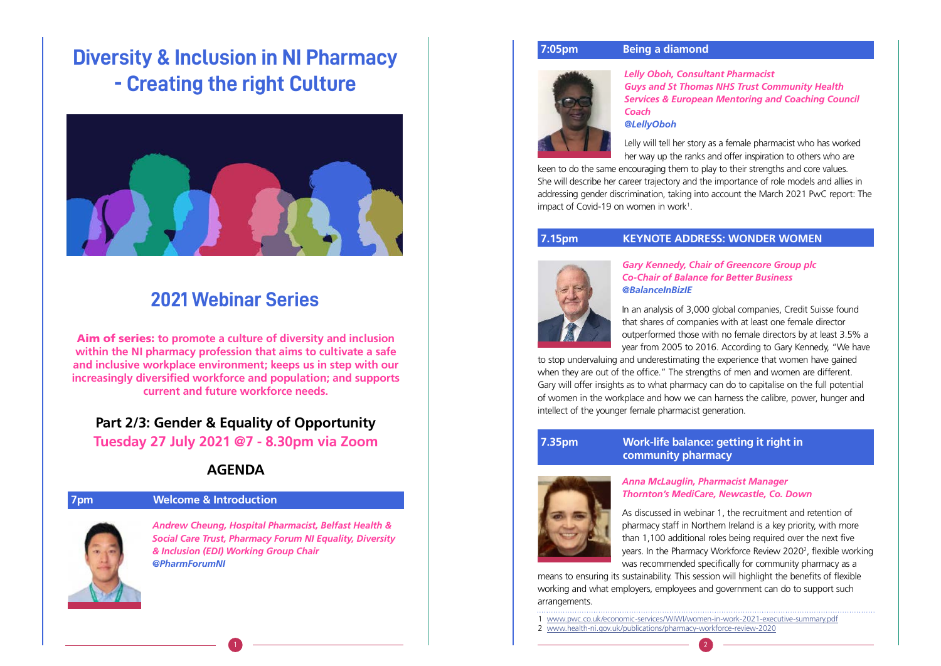

### **7pm Welcome & Introduction**

*Andrew Cheung, Hospital Pharmacist, Belfast Health & Social Care Trust, Pharmacy Forum NI Equality, Diversity & Inclusion (EDI) Working Group Chair @PharmForumNI* 

# **Diversity & Inclusion in NI Pharmacy - Creating the right Culture**



# **2021 Webinar Series**

Aim of series: **to promote a culture of diversity and inclusion within the NI pharmacy profession that aims to cultivate a safe and inclusive workplace environment; keeps us in step with our increasingly diversified workforce and population; and supports current and future workforce needs.**

Lelly will tell her story as a female pharmacist who has worked her way up the ranks and offer inspiration to others who are keen to do the same encouraging them to play to their strengths and core values. She will describe her career trajectory and the importance of role models and allies in addressing gender discrimination, taking into account the March 2021 PwC report: The impact of Covid-19 on women in work<sup>1</sup>.

### **7.15pm KEYNOTE ADDRESS: WONDER WOMEN**



**Part 2/3: Gender & Equality of Opportunity Tuesday 27 July 2021 @7 - 8.30pm via Zoom**

# **AGENDA**

1 www.pwc.co.uk/economic-services/WIWI/women-in-work-2021-executive-summary.pdf

2 www.health-ni.gov.uk/publications/pharmacy-workforce-review-2020

### **7:05pm Being a diamond**



### *Lelly Oboh, Consultant Pharmacist Guys and St Thomas NHS Trust Community Health Services & European Mentoring and Coaching Council*

*Coach @LellyOboh*

# *Gary Kennedy, Chair of Greencore Group plc*

*Co-Chair of Balance for Better Business @BalanceInBizIE*

In an analysis of 3,000 global companies, Credit Suisse found

that shares of companies with at least one female director outperformed those with no female directors by at least 3.5% a year from 2005 to 2016. According to Gary Kennedy, "We have to stop undervaluing and underestimating the experience that women have gained when they are out of the office." The strengths of men and women are different. Gary will offer insights as to what pharmacy can do to capitalise on the full potential of women in the workplace and how we can harness the calibre, power, hunger and intellect of the younger female pharmacist generation.

### **7.35pm » Work-life balance: getting it right in community pharmacy**



### *Anna McLauglin, Pharmacist Manager Thornton's MediCare, Newcastle, Co. Down*

As discussed in webinar 1, the recruitment and retention of pharmacy staff in Northern Ireland is a key priority, with more than 1,100 additional roles being required over the next five years. In the Pharmacy Workforce Review 2020<sup>2</sup>, flexible working was recommended specifically for community pharmacy as a means to ensuring its sustainability. This session will highlight the benefits of flexible working and what employers, employees and government can do to support such arrangements.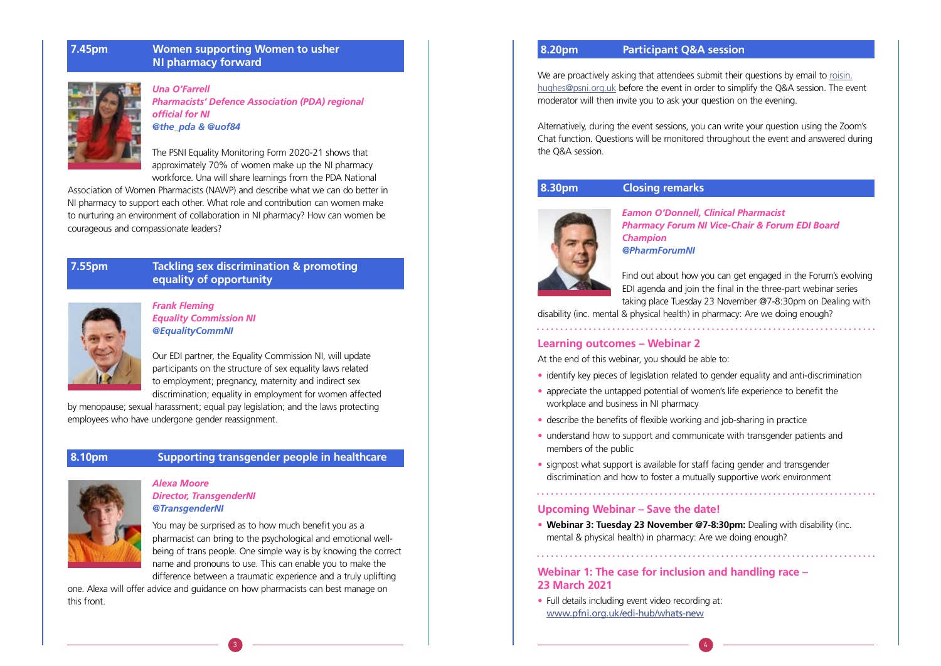## **7.45pm Women supporting Women to usher NI pharmacy forward**



*Una O'Farrell Pharmacists' Defence Association (PDA) regional official for NI @the\_pda & @uof84*

The PSNI Equality Monitoring Form 2020-21 shows that approximately 70% of women make up the NI pharmacy workforce. Una will share learnings from the PDA National

Association of Women Pharmacists (NAWP) and describe what we can do better in NI pharmacy to support each other. What role and contribution can women make to nurturing an environment of collaboration in NI pharmacy? How can women be courageous and compassionate leaders?

## **7.55pm » Tackling sex discrimination & promoting equality of opportunity**



*Frank Fleming Equality Commission NI @EqualityCommNI*

Our EDI partner, the Equality Commission NI, will update participants on the structure of sex equality laws related to employment; pregnancy, maternity and indirect sex discrimination; equality in employment for women affected We are proactively asking that attendees submit their questions by email to roisin. hughes@psni.org.uk before the event in order to simplify the Q&A session. The event moderator will then invite you to ask your question on the evening.

by menopause; sexual harassment; equal pay legislation; and the laws protecting employees who have undergone gender reassignment.

## **8.10pm » Supporting transgender people in healthcare**



### *Alexa Moore Director, TransgenderNI @TransgenderNI*

You may be surprised as to how much benefit you as a pharmacist can bring to the psychological and emotional wellbeing of trans people. One simple way is by knowing the correct name and pronouns to use. This can enable you to make the difference between a traumatic experience and a truly uplifting

one. Alexa will offer advice and guidance on how pharmacists can best manage on this front.

### **8.20pm Participant Q&A session**

Alternatively, during the event sessions, you can write your question using the Zoom's Chat function. Questions will be monitored throughout the event and answered during the Q&A session.

# **8.30pm Closing remarks**



*Eamon O'Donnell, Clinical Pharmacist Champion @PharmForumNI*

*Pharmacy Forum NI Vice-Chair & Forum EDI Board* 

Find out about how you can get engaged in the Forum's evolving EDI agenda and join the final in the three-part webinar series taking place Tuesday 23 November @7-8:30pm on Dealing with disability (inc. mental & physical health) in pharmacy: Are we doing enough?

### **Learning outcomes – Webinar 2**

At the end of this webinar, you should be able to: • identify key pieces of legislation related to gender equality and anti-discrimination • appreciate the untapped potential of women's life experience to benefit the

- 
- workplace and business in NI pharmacy
- describe the benefits of flexible working and job-sharing in practice
- understand how to support and communicate with transgender patients and members of the public
- signpost what support is available for staff facing gender and transgender discrimination and how to foster a mutually supportive work environment

### **Upcoming Webinar – Save the date!**

• **Webinar 3: Tuesday 23 November @7-8:30pm:** Dealing with disability (inc. mental & physical health) in pharmacy: Are we doing enough?

**Webinar 1: The case for inclusion and handling race – 23 March 2021**

• Full details including event video recording at: www.pfni.org.uk/edi-hub/whats-new

 $\overline{3}$  ) and the set of the set of the set of the set of the set of the set of the set of the set of the set of the set of the set of the set of the set of the set of the set of the set of the set of the set of the set